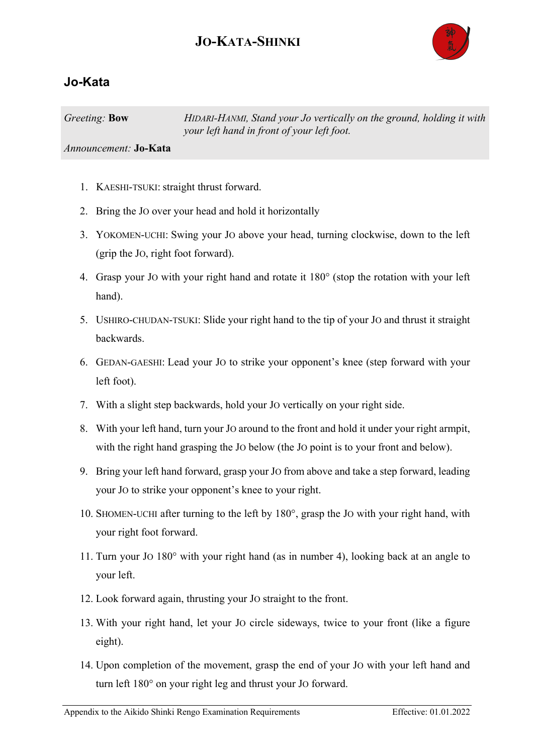## **JO-KATA-SHINKI**



## **Jo-Kata**

*Greeting:* **Bow** *HIDARI-HANMI, Stand your Jo vertically on the ground, holding it with your left hand in front of your left foot.*

## *Announcement:* **Jo-Kata**

- 1. KAESHI-TSUKI: straight thrust forward.
- 2. Bring the JO over your head and hold it horizontally
- 3. YOKOMEN-UCHI: Swing your JO above your head, turning clockwise, down to the left (grip the JO, right foot forward).
- 4. Grasp your JO with your right hand and rotate it 180° (stop the rotation with your left hand).
- 5. USHIRO-CHUDAN-TSUKI: Slide your right hand to the tip of your JO and thrust it straight backwards.
- 6. GEDAN-GAESHI: Lead your JO to strike your opponent's knee (step forward with your left foot).
- 7. With a slight step backwards, hold your JO vertically on your right side.
- 8. With your left hand, turn your JO around to the front and hold it under your right armpit, with the right hand grasping the Jo below (the Jo point is to your front and below).
- 9. Bring your left hand forward, grasp your JO from above and take a step forward, leading your JO to strike your opponent's knee to your right.
- 10. SHOMEN-UCHI after turning to the left by 180°, grasp the JO with your right hand, with your right foot forward.
- 11. Turn your JO 180° with your right hand (as in number 4), looking back at an angle to your left.
- 12. Look forward again, thrusting your JO straight to the front.
- 13. With your right hand, let your JO circle sideways, twice to your front (like a figure eight).
- 14. Upon completion of the movement, grasp the end of your JO with your left hand and turn left 180° on your right leg and thrust your JO forward.